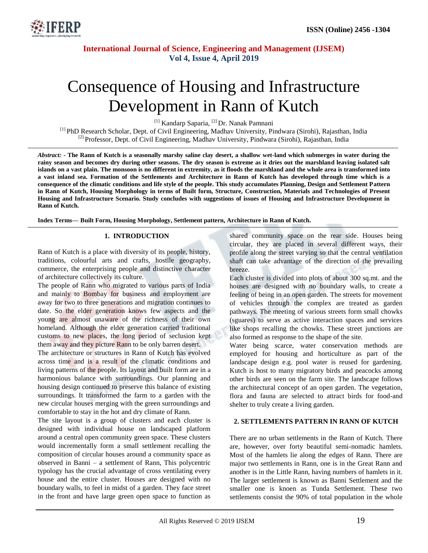

# Consequence of Housing and Infrastructure Development in Rann of Kutch

<sup>[1]</sup> Kandarp Saparia, <sup>[2]</sup> Dr. Nanak Pamnani

[1] PhD Research Scholar, Dept. of Civil Engineering, Madhav University, Pindwara (Sirohi), Rajasthan, India [2] Professor, Dept. of Civil Engineering, Madhav University, Pindwara (Sirohi), Rajasthan, India

*Abstract: -* **The Rann of Kutch is a seasonally marshy saline clay desert, a shallow wet-land which submerges in water during the rainy season and becomes dry during other seasons. The dry season is extreme as it dries out the marshland leaving isolated salt islands on a vast plain. The monsoon is no different in extremity, as it floods the marshland and the whole area is transformed into a vast inland sea. Formation of the Settlements and Architecture in Rann of Kutch has developed through time which is a consequence of the climatic conditions and life style of the people. This study accumulates Planning, Design and Settlement Pattern in Rann of Kutch, Housing Morphology in terms of Built form, Structure, Construction, Materials and Technologies of Present Housing and Infrastructure Scenario. Study concludes with suggestions of issues of Housing and Infrastructure Development in Rann of Kutch.**

**Index Terms— Built Form, Housing Morphology, Settlement pattern, Architecture in Rann of Kutch.** 

## **1. INTRODUCTION**

Rann of Kutch is a place with diversity of its people, history, traditions, colourful arts and crafts, hostile geography, commerce, the enterprising people and distinctive character of architecture collectively its culture.

The people of Rann who migrated to various parts of India and mainly to Bombay for business and employment are away for two to three generations and migration continues to date. So the elder generation knows few aspects and the young are almost unaware of the richness of their own homeland. Although the elder generation carried traditional customs to new places, the long period of seclusion kept them away and they picture Rann to be only barren desert.

The architecture or structures in Rann of Kutch has evolved across time and is a result of the climatic conditions and living patterns of the people. Its layout and built form are in a harmonious balance with surroundings. Our planning and housing design continued to preserve this balance of existing surroundings. It transformed the farm to a garden with the new circular houses merging with the green surroundings and comfortable to stay in the hot and dry climate of Rann.

The site layout is a group of clusters and each cluster is designed with individual house on landscaped platform around a central open community green space. These clusters would incrementally form a small settlement recalling the composition of circular houses around a community space as observed in Banni – a settlement of Rann, This polycentric typology has the crucial advantage of cross ventilating every house and the entire cluster. Houses are designed with no boundary walls, to feel in midst of a garden. They face street in the front and have large green open space to function as shared community space on the rear side. Houses being circular, they are placed in several different ways, their profile along the street varying so that the central ventilation shaft can take advantage of the direction of the prevailing breeze.

Each cluster is divided into plots of about 300 sq.mt. and the houses are designed with no boundary walls, to create a feeling of being in an open garden. The streets for movement of vehicles through the complex are treated as garden pathways. The meeting of various streets form small chowks (sguares) to serve as active interaction spaces and services like shops recalling the chowks. These street junctions are also formed as response to the shape of the site.

Water being scarce, water conservation methods are employed for housing and horticulture as part of the landscape design e.g. pool water is reused for gardening. Kutch is host to many migratory birds and peacocks among other birds are seen on the farm site. The landscape follows the architectural concept of an open garden. The vegetation, flora and fauna are selected to attract birds for food-and shelter to truly create a living garden.

#### **2. SETTLEMENTS PATTERN IN RANN OF KUTCH**

There are no urban settlements in the Rann of Kutch. There are, however, over forty beautiful semi-nomadic hamlets. Most of the hamlets lie along the edges of Rann. There are major two settlements in Rann, one is in the Great Rann and another is in the Little Rann, having numbers of hamlets in it. The larger settlement is known as Banni Settlement and the smaller one is knoen as Tunda Settlement. These two settlements consist the 90% of total population in the whole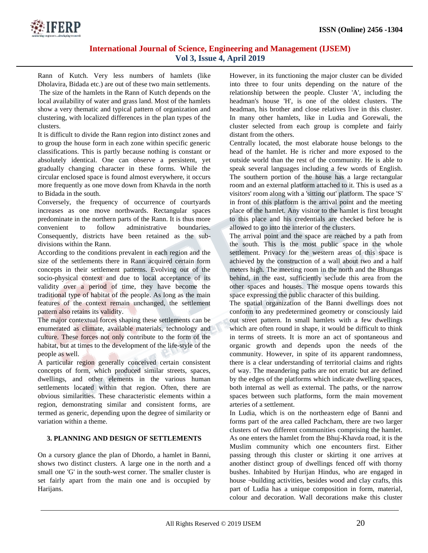

Rann of Kutch. Very less numbers of hamlets (like Dholavira, Bidada etc.) are out of these two main settlements. The size of the hamlets in the Rann of Kutch depends on the local availability of water and grass land. Most of the hamlets show a very thematic and typical pattern of organization and clustering, with localized differences in the plan types of the clusters.

It is difficult to divide the Rann region into distinct zones and to group the house form in each zone within specific generic classifications. This is partly because nothing is constant or absolutely identical. One can observe a persistent, yet gradually changing character in these forms. While the circular enclosed space is found almost everywhere, it occurs more frequently as one move down from Khavda in the north to Bidada in the south.

Conversely, the frequency of occurrence of courtyards increases as one move northwards. Rectangular spaces predominate in the northern parts of the Rann. It is thus more convenient to follow administrative boundaries. Consequently, districts have been retained as the subdivisions within the Rann.

According to the conditions prevalent in each region and the size of the settlements there in Rann acquired certain form concepts in their settlement patterns. Evolving out of the socio-physical context and due to local acceptance of its validity over a period of time, they have become the traditional type of habitat of the people. As long as the main features of the context remain unchanged, the settlement pattern also retains its validity.

The major contextual forces shaping these settlements can be enumerated as climate, available materials, technology and culture. These forces not only contribute to the form of the habitat, but at times to the development of the life-style of the people as well.

A particular region generally conceived certain consistent concepts of form, which produced similar streets, spaces, dwellings, and other elements in the various human settlements located within that region. Often, there are obvious similarities. These characteristic elements within a region, demonstrating similar and consistent forms, are termed as generic, depending upon the degree of similarity or variation within a theme.

## **3. PLANNING AND DESIGN OF SETTLEMENTS**

On a cursory glance the plan of Dhordo, a hamlet in Banni, shows two distinct clusters. A large one in the north and a small one 'G' in the south-west corner. The smaller cluster is set fairly apart from the main one and is occupied by Harijans.

However, in its functioning the major cluster can be divided into three to four units depending on the nature of the relationship between the people. Cluster 'A', including the headman's house 'H', is one of the oldest clusters. The headman, his brother and close relatives live in this cluster. In many other hamlets, like in Ludia and Gorewali, the cluster selected from each group is complete and fairly distant from the others.

Centrally located, the most elaborate house belongs to the head of the hamlet. He is richer and more exposed to the outside world than the rest of the community. He is able to speak several languages including a few words of English. The southern portion of the house has a large rectangular room and an external platform attached to it. This is used as a visitors' room along with a 'sitting out' platform. The space 'S' in front of this platform is the arrival point and the meeting place of the hamlet. Any visitor to the hamlet is first brought to this place and his credentials are checked before he is allowed to go into the interior of the clusters.

The arrival point and the space are reached by a path from the south. This is the most public space in the whole settlement. Privacy for the western areas of this space is achieved by the construction of a wall about two and a half meters high. The meeting room in the north and the Bhungas behind, in the east, sufficiently seclude this area from the other spaces and houses. The mosque opens towards this space expressing the public character of this building.

The spatial organization of the Banni dwellings does not conform to any predetermined geometry or consciously laid out street pattern. In small hamlets with a few dwellings which are often round in shape, it would be difficult to think in terms of streets. It is more an act of spontaneous and organic growth and depends upon the needs of the community. However, in spite of its apparent randomness, there is a clear understanding of territorial claims and rights of way. The meandering paths are not erratic but are defined by the edges of the platforms which indicate dwelling spaces, both internal as well as external. The paths, or the narrow spaces between such platforms, form the main movement arteries of a settlement.

In Ludia, which is on the northeastern edge of Banni and forms part of the area called Pachcham, there are two larger clusters of two different communities comprising the hamlet. As one enters the hamlet from the Bhuj-Khavda road, it is the Muslim community which one encounters first. Either passing through this cluster or skirting it one arrives at another distinct group of dwellings fenced off with thorny bushes. Inhabited by Hurijan Hindus, who are engaged in house ¬building activities, besides wood and clay crafts, this part of Ludia has a unique composition in form, material, colour and decoration. Wall decorations make this cluster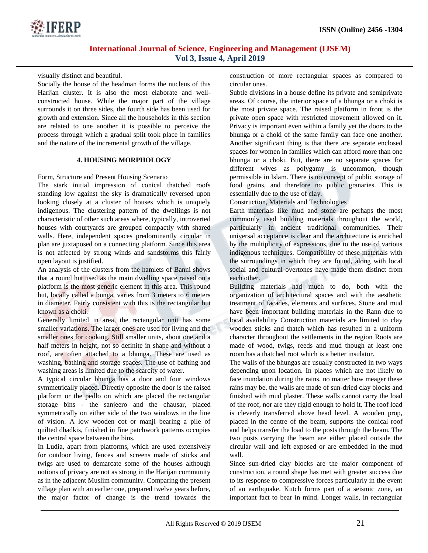

visually distinct and beautiful.

Socially the house of the headman forms the nucleus of this Harijan cluster. It is also the most elaborate and wellconstructed house. While the major part of the village surrounds it on three sides, the fourth side has been used for growth and extension. Since all the households in this section are related to one another it is possible to perceive the process through which a gradual split took place in families and the nature of the incremental growth of the village.

## **4. HOUSING MORPHOLOGY**

Form, Structure and Present Housing Scenario

The stark initial impression of conical thatched roofs standing low against the sky is dramatically reversed upon looking closely at a cluster of houses which is uniquely indigenous. The clustering pattern of the dwellings is not characteristic of other such areas where, typically, introverted houses with courtyards are grouped compactly with shared walls. Here, independent spaces predominantly circular in plan are juxtaposed on a connecting platform. Since this area is not affected by strong winds and sandstorms this fairly open layout is justified.

An analysis of the clusters from the hamlets of Banni shows that a round hut used as the main dwelling space raised on a platform is the most generic element in this area. This round hut, locally called a bunga, varies from 3 meters to 6 meters in diameter. Fairly consistent with this is the rectangular hut known as a choki.

Generally limited in area, the rectangular unit has some smaller variations. The larger ones are used for living and the smaller ones for cooking. Still smaller units, about one and a half meters in height, not so definite in shape and without a roof, are often attached to a bhunga. These are used as washing, bathing and storage spaces. The use of bathing and washing areas is limited due to the scarcity of water.

A typical circular bhunga has a door and four windows symmetrically placed. Directly opposite the door is the raised platform or the pedlo on which are placed the rectangular storage bins - the sanjeero and the chausar, placed symmetrically on either side of the two windows in the line of vision. A low wooden cot or manji bearing a pile of quilted dhadkis, finished in fine patchwork patterns occupies the central space between the bins.

In Ludia, apart from platforms, which are used extensively for outdoor living, fences and screens made of sticks and twigs are used to demarcate some of the houses although notions of privacy are not as strong in the Harijan community as in the adjacent Muslim community. Comparing the present village plan with an earlier one, prepared twelve years before, the major factor of change is the trend towards the construction of more rectangular spaces as compared to circular ones.

Subtle divisions in a house define its private and semiprivate areas. Of course, the interior space of a bhunga or a choki is the most private space. The raised platform in front is the private open space with restricted movement allowed on it. Privacy is important even within a family yet the doors to the bhunga or a choki of the same family can face one another. Another significant thing is that there are separate enclosed spaces for women in families which can afford more than one bhunga or a choki. But, there are no separate spaces for different wives as polygamy is uncommon, though permissible in Islam. There is no concept of public storage of food grains, and therefore no public granaries. This is essentially due to the use of clay.

Construction, Materials and Technologies

Earth materials like mud and stone are perhaps the most commonly used building materials throughout the world, particularly in ancient traditional communities. Their universal acceptance is clear and the architecture is enriched by the multiplicity of expressions, due to the use of various indigenous techniques. Compatibility of these materials with the surroundings in which they are found, along with local social and cultural overtones have made them distinct from each other.

Building materials had much to do, both with the organization of architectural spaces and with the aesthetic treatment of facades, elements and surfaces. Stone and mud have been important building materials in the Rann due to local availability Construction materials are limited to clay wooden sticks and thatch which has resulted in a uniform character throughout the settlements in the region Roots are made of wood, twigs, reeds and mud though at least one room has a thatched root which is a better insulator.

The walls of the bhungas are usually constructed in two ways depending upon location. In places which are not likely to face inundation during the rains, no matter how meager these rains may be, the walls are made of sun-dried clay blocks and finished with mud plaster. These walls cannot carry the load of the roof, nor are they rigid enough to hold it. The roof load is cleverly transferred above head level. A wooden prop, placed in the centre of the beam, supports the conical roof and helps transfer the load to the posts through the beam. The two posts carrying the beam are either placed outside the circular wall and left exposed or are embedded in the mud wall.

Since sun-dried clay blocks are the major component of construction, a round shape has met with greater success due to its response to compressive forces particularly in the event of an earthquake. Kutch forms part of a seismic zone, an important fact to bear in mind. Longer walls, in rectangular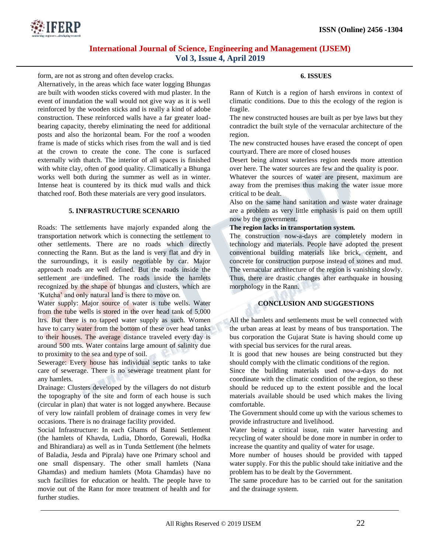

form, are not as strong and often develop cracks.

Alternatively, in the areas which face water logging Bhungas are built with wooden sticks covered with mud plaster. In the event of inundation the wall would not give way as it is well reinforced by the wooden sticks and is really a kind of adobe construction. These reinforced walls have a far greater loadbearing capacity, thereby eliminating the need for additional posts and also the horizontal beam. For the roof a wooden frame is made of sticks which rises from the wall and is tied at the crown to create the cone. The cone is surfaced externally with thatch. The interior of all spaces is finished with white clay, often of good quality. Climatically a Bhunga works well both during the summer as well as in winter. Intense heat is countered by its thick mud walls and thick thatched roof. Both these materials are very good insulators.

## **5. INFRASTRUCTURE SCENARIO**

Roads: The settlements have majorly expanded along the transportation network which is connecting the settlement to other settlements. There are no roads which directly connecting the Rann. But as the land is very flat and dry in the surroundings, it is easily negotiable by car. Major approach roads are well defined. But the roads inside the settlement are undefined. The roads inside the hamlets recognized by the shape of bhungas and clusters, which are 'Kutcha' and only natural land is there to move on.

Water supply: Major source of water is tube wells. Water from the tube wells is stored in the over head tank of 5,000 ltrs. But there is no tapped water supply as such. Women have to carry water from the bottom of these over head tanks to their houses. The average distance traveled every day is around 500 mts. Water contains large amount of salinity due to proximity to the sea and type of soil.

Sewerage: Every house has individual septic tanks to take care of sewerage. There is no sewerage treatment plant for any hamlets.

Drainage: Clusters developed by the villagers do not disturb the topography of the site and form of each house is such (circular in plan) that water is not logged anywhere. Because of very low rainfall problem of drainage comes in very few occasions. There is no drainage facility provided.

Social Infrastructure: In each Ghams of Banni Settlement (the hamlets of Khavda, Ludia, Dhordo, Gorewali, Hodka and Bhirandiara) as well as in Tunda Settlement (the helmets of Baladia, Jesda and Piprala) have one Primary school and one small dispensary. The other small hamlets (Nana Ghamdas) and medium hamlets (Mota Ghamdas) have no such facilities for education or health. The people have to movie out of the Rann for more treatment of health and for further studies.

## **6. ISSUES**

Rann of Kutch is a region of harsh environs in context of climatic conditions. Due to this the ecology of the region is fragile.

The new constructed houses are built as per bye laws but they contradict the built style of the vernacular architecture of the region.

The new constructed houses have erased the concept of open courtyard. There are more of closed houses

Desert being almost waterless region needs more attention over here. The water sources are few and the quality is poor.

Whatever the sources of water are present, maximum are away from the premises thus making the water issue more critical to be dealt.

Also on the same hand sanitation and waste water drainage are a problem as very little emphasis is paid on them uptill now by the government.

## **The region lacks in transportation system.**

The construction now-a-days are completely modern in technology and materials. People have adopted the present conventional building materials like brick, cement, and concrete for construction purpose instead of stones and mud. The vernacular architecture of the region is vanishing slowly. Thus, there are drastic changes after earthquake in housing morphology in the Rann.

## **CONCLUSION AND SUGGESTIONS**

All the hamlets and settlements must be well connected with the urban areas at least by means of bus transportation. The bus corporation the Gujarat State is having should come up with special bus services for the rural areas.

It is good that new houses are being constructed but they should comply with the climatic conditions of the region.

Since the building materials used now-a-days do not coordinate with the climatic condition of the region, so these should be reduced up to the extent possible and the local materials available should be used which makes the living comfortable.

The Government should come up with the various schemes to provide infrastructure and livelihood.

Water being a critical issue, rain water harvesting and recycling of water should be done more in number in order to increase the quantity and quality of water for usage.

More number of houses should be provided with tapped water supply. For this the public should take initiative and the problem has to be dealt by the Government.

The same procedure has to be carried out for the sanitation and the drainage system.